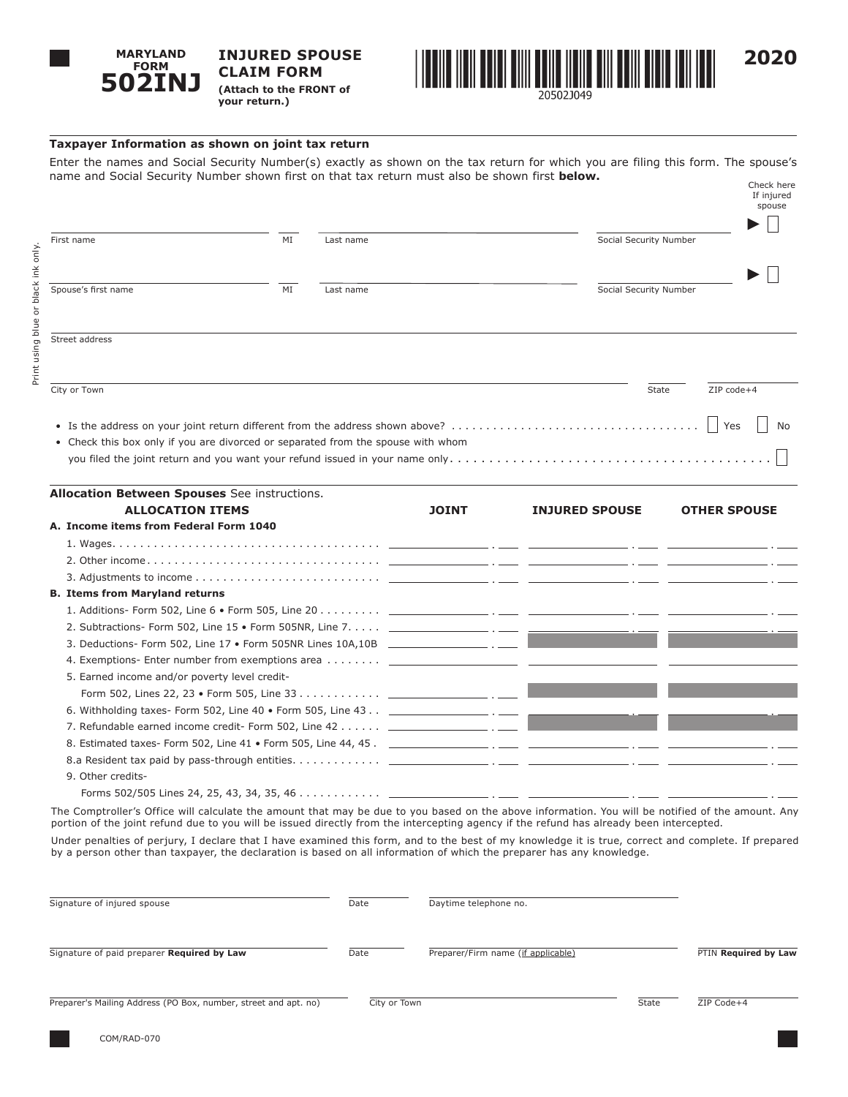

**INJURED SPOUSE CLAIM FORM (Attach to the FRONT of your return.)**



## **Taxpayer Information as shown on joint tax return**

Enter the names and Social Security Number(s) exactly as shown on the tax return for which you are filing this form. The spouse's name and Social Security Number shown first on that tax return must also be shown first **below.** Check here

|                                                                         |    |                                                                                  |                                                                               | If injured<br>spouse |
|-------------------------------------------------------------------------|----|----------------------------------------------------------------------------------|-------------------------------------------------------------------------------|----------------------|
| First name                                                              | MI | Last name                                                                        | Social Security Number                                                        |                      |
| Spouse's first name                                                     | MI | Last name                                                                        | Social Security Number                                                        |                      |
| Street address                                                          |    |                                                                                  |                                                                               |                      |
| City or Town                                                            |    |                                                                                  | State                                                                         | ZIP code+4           |
|                                                                         |    | • Check this box only if you are divorced or separated from the spouse with whom | • Is the address on your joint return different from the address shown above? | Yes<br>No            |
| <b>Allocation Between Spouses</b> See instructions.<br>ALLOCATION ITEMS |    | <b>IOTNT</b>                                                                     | <b>TNILIDED CDOLICE</b>                                                       | <b>OTHED CDOUCE</b>  |

| <b>ALLOCATION ITEMS</b>                                                                                                                                                                                            | <b>JOINT</b> | <b>INJURED SPOUSE</b> | <b>OTHER SPOUSE</b> |
|--------------------------------------------------------------------------------------------------------------------------------------------------------------------------------------------------------------------|--------------|-----------------------|---------------------|
| A. Income items from Federal Form 1040                                                                                                                                                                             |              |                       |                     |
|                                                                                                                                                                                                                    |              |                       |                     |
|                                                                                                                                                                                                                    |              |                       |                     |
|                                                                                                                                                                                                                    |              |                       |                     |
| <b>B. Items from Maryland returns</b>                                                                                                                                                                              |              |                       |                     |
|                                                                                                                                                                                                                    |              |                       |                     |
|                                                                                                                                                                                                                    |              |                       |                     |
|                                                                                                                                                                                                                    |              |                       |                     |
|                                                                                                                                                                                                                    |              |                       |                     |
| 5. Earned income and/or poverty level credit-                                                                                                                                                                      |              |                       |                     |
|                                                                                                                                                                                                                    |              |                       |                     |
|                                                                                                                                                                                                                    |              |                       |                     |
| 7. Refundable earned income credit- Form 502, Line 42 ________________ . ____ Decay and the contract of the contract of the contract of the contract of the contract of the contract of the contract of the contra |              |                       |                     |
|                                                                                                                                                                                                                    |              |                       |                     |
|                                                                                                                                                                                                                    |              |                       |                     |
| 9. Other credits-                                                                                                                                                                                                  |              |                       |                     |
|                                                                                                                                                                                                                    |              |                       |                     |

The Comptroller's Office will calculate the amount that may be due to you based on the above information. You will be notified of the amount. Any portion of the joint refund due to you will be issued directly from the intercepting agency if the refund has already been intercepted.

Under penalties of perjury, I declare that I have examined this form, and to the best of my knowledge it is true, correct and complete. If prepared by a person other than taxpayer, the declaration is based on all information of which the preparer has any knowledge.

| Signature of injured spouse                                     | Date         | Daytime telephone no.              |       |                      |
|-----------------------------------------------------------------|--------------|------------------------------------|-------|----------------------|
| Signature of paid preparer Required by Law                      | Date         | Preparer/Firm name (if applicable) |       | PTIN Required by Law |
| Preparer's Mailing Address (PO Box, number, street and apt. no) | City or Town |                                    | State | ZIP Code+4           |

COM/RAD-070